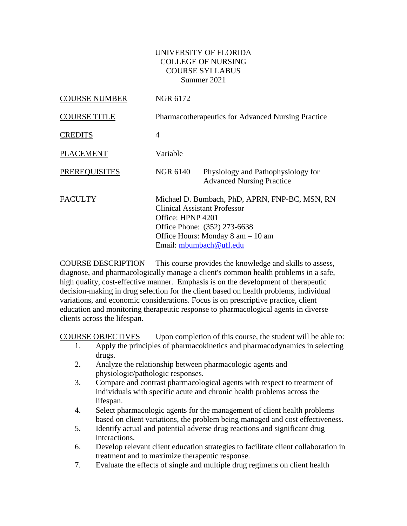#### UNIVERSITY OF FLORIDA COLLEGE OF NURSING COURSE SYLLABUS Summer 2021

| <b>COURSE NUMBER</b> | NGR 6172          |                                                                                                                                                                                                         |
|----------------------|-------------------|---------------------------------------------------------------------------------------------------------------------------------------------------------------------------------------------------------|
| <b>COURSE TITLE</b>  |                   | <b>Pharmacotherapeutics for Advanced Nursing Practice</b>                                                                                                                                               |
| <b>CREDITS</b>       | 4                 |                                                                                                                                                                                                         |
| <b>PLACEMENT</b>     | Variable          |                                                                                                                                                                                                         |
| <b>PREREQUISITES</b> | NGR 6140          | Physiology and Pathophysiology for<br><b>Advanced Nursing Practice</b>                                                                                                                                  |
| <b>FACULTY</b>       | Office: HPNP 4201 | Michael D. Bumbach, PhD, APRN, FNP-BC, MSN, RN<br><b>Clinical Assistant Professor</b><br>Office Phone: (352) 273-6638<br>Office Hours: Monday $8 \text{ am} - 10 \text{ am}$<br>Email: mbumbach@ufl.edu |

COURSE DESCRIPTION This course provides the knowledge and skills to assess, diagnose, and pharmacologically manage a client's common health problems in a safe, high quality, cost-effective manner. Emphasis is on the development of therapeutic decision-making in drug selection for the client based on health problems, individual variations, and economic considerations. Focus is on prescriptive practice, client education and monitoring therapeutic response to pharmacological agents in diverse clients across the lifespan.

COURSE OBJECTIVES Upon completion of this course, the student will be able to:

- 1. Apply the principles of pharmacokinetics and pharmacodynamics in selecting drugs.
- 2. Analyze the relationship between pharmacologic agents and physiologic/pathologic responses.
- 3. Compare and contrast pharmacological agents with respect to treatment of individuals with specific acute and chronic health problems across the lifespan.
- 4. Select pharmacologic agents for the management of client health problems based on client variations, the problem being managed and cost effectiveness.
- 5. Identify actual and potential adverse drug reactions and significant drug interactions.
- 6. Develop relevant client education strategies to facilitate client collaboration in treatment and to maximize therapeutic response.
- 7. Evaluate the effects of single and multiple drug regimens on client health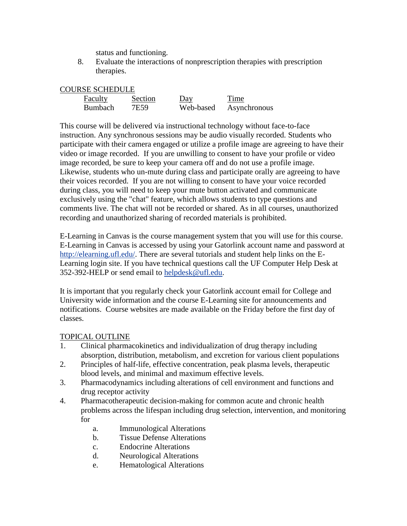status and functioning.

8. Evaluate the interactions of nonprescription therapies with prescription therapies.

| Faculty        | Section | Day       | Time         |
|----------------|---------|-----------|--------------|
| <b>Bumbach</b> | 7E59    | Web-based | Asynchronous |

This course will be delivered via instructional technology without face-to-face instruction. Any synchronous sessions may be audio visually recorded. Students who participate with their camera engaged or utilize a profile image are agreeing to have their video or image recorded. If you are unwilling to consent to have your profile or video image recorded, be sure to keep your camera off and do not use a profile image. Likewise, students who un-mute during class and participate orally are agreeing to have their voices recorded. If you are not willing to consent to have your voice recorded during class, you will need to keep your mute button activated and communicate exclusively using the "chat" feature, which allows students to type questions and comments live. The chat will not be recorded or shared. As in all courses, unauthorized recording and unauthorized sharing of recorded materials is prohibited.

E-Learning in Canvas is the course management system that you will use for this course. E-Learning in Canvas is accessed by using your Gatorlink account name and password at [http://elearning.ufl.edu/.](http://elearning.ufl.edu/) There are several tutorials and student help links on the E-Learning login site. If you have technical questions call the UF Computer Help Desk at 352-392-HELP or send email to [helpdesk@ufl.edu.](mailto:helpdesk@ufl.edu)

It is important that you regularly check your Gatorlink account email for College and University wide information and the course E-Learning site for announcements and notifications. Course websites are made available on the Friday before the first day of classes.

### TOPICAL OUTLINE

- 1. Clinical pharmacokinetics and individualization of drug therapy including absorption, distribution, metabolism, and excretion for various client populations
- 2. Principles of half-life, effective concentration, peak plasma levels, therapeutic blood levels, and minimal and maximum effective levels.
- 3. Pharmacodynamics including alterations of cell environment and functions and drug receptor activity
- 4. Pharmacotherapeutic decision-making for common acute and chronic health problems across the lifespan including drug selection, intervention, and monitoring for
	- a. Immunological Alterations
	- b. Tissue Defense Alterations
	- c. Endocrine Alterations
	- d. Neurological Alterations
	- e. Hematological Alterations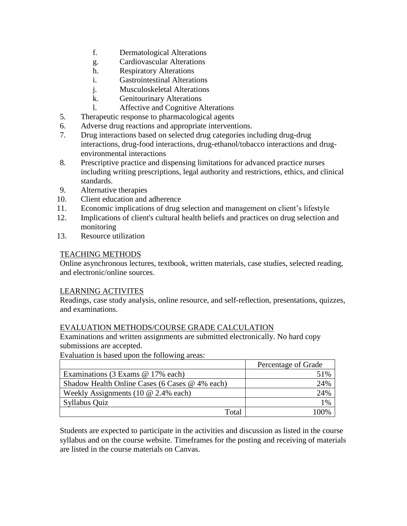- f. Dermatological Alterations
- g. Cardiovascular Alterations
- h. Respiratory Alterations
- i. Gastrointestinal Alterations
- j. Musculoskeletal Alterations
- k. Genitourinary Alterations
- l. Affective and Cognitive Alterations
- 5. Therapeutic response to pharmacological agents
- 6. Adverse drug reactions and appropriate interventions.
- 7. Drug interactions based on selected drug categories including drug-drug interactions, drug-food interactions, drug-ethanol/tobacco interactions and drugenvironmental interactions
- 8. Prescriptive practice and dispensing limitations for advanced practice nurses including writing prescriptions, legal authority and restrictions, ethics, and clinical standards.
- 9. Alternative therapies
- 10. Client education and adherence
- 11. Economic implications of drug selection and management on client's lifestyle
- 12. Implications of client's cultural health beliefs and practices on drug selection and monitoring
- 13. Resource utilization

### TEACHING METHODS

Online asynchronous lectures, textbook, written materials, case studies, selected reading, and electronic/online sources.

# LEARNING ACTIVITES

Readings, case study analysis, online resource, and self-reflection, presentations, quizzes, and examinations.

# EVALUATION METHODS/COURSE GRADE CALCULATION

Examinations and written assignments are submitted electronically. No hard copy submissions are accepted.

Evaluation is based upon the following areas:

|                                                | Percentage of Grade |
|------------------------------------------------|---------------------|
| Examinations (3 Exams @ 17% each)              | 51%                 |
| Shadow Health Online Cases (6 Cases @ 4% each) | 24%                 |
| Weekly Assignments (10 $@$ 2.4% each)          | 24%                 |
| Syllabus Quiz                                  | 1%                  |
| Total                                          | 100%                |

Students are expected to participate in the activities and discussion as listed in the course syllabus and on the course website. Timeframes for the posting and receiving of materials are listed in the course materials on Canvas.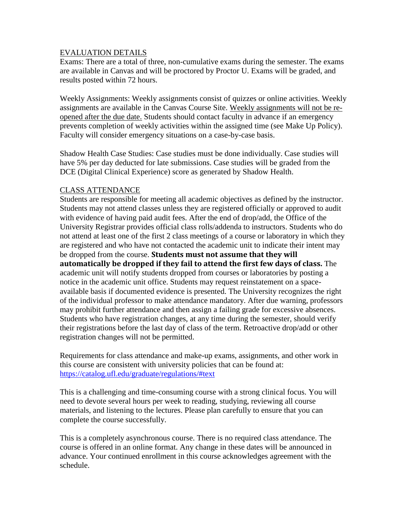#### EVALUATION DETAILS

Exams: There are a total of three, non-cumulative exams during the semester. The exams are available in Canvas and will be proctored by Proctor U. Exams will be graded, and results posted within 72 hours.

Weekly Assignments: Weekly assignments consist of quizzes or online activities. Weekly assignments are available in the Canvas Course Site. Weekly assignments will not be reopened after the due date. Students should contact faculty in advance if an emergency prevents completion of weekly activities within the assigned time (see Make Up Policy). Faculty will consider emergency situations on a case-by-case basis.

Shadow Health Case Studies: Case studies must be done individually. Case studies will have 5% per day deducted for late submissions. Case studies will be graded from the DCE (Digital Clinical Experience) score as generated by Shadow Health.

#### CLASS ATTENDANCE

Students are responsible for meeting all academic objectives as defined by the instructor. Students may not attend classes unless they are registered officially or approved to audit with evidence of having paid audit fees. After the end of drop/add, the Office of the University Registrar provides official class rolls/addenda to instructors. Students who do not attend at least one of the first 2 class meetings of a course or laboratory in which they are registered and who have not contacted the academic unit to indicate their intent may be dropped from the course. **Students must not assume that they will automatically be dropped if they fail to attend the first few days of class.** The academic unit will notify students dropped from courses or laboratories by posting a notice in the academic unit office. Students may request reinstatement on a spaceavailable basis if documented evidence is presented. The University recognizes the right of the individual professor to make attendance mandatory. After due warning, professors may prohibit further attendance and then assign a failing grade for excessive absences. Students who have registration changes, at any time during the semester, should verify their registrations before the last day of class of the term. Retroactive drop/add or other registration changes will not be permitted.

Requirements for class attendance and make-up exams, assignments, and other work in this course are consistent with university policies that can be found at: <https://catalog.ufl.edu/graduate/regulations/#text>

This is a challenging and time-consuming course with a strong clinical focus. You will need to devote several hours per week to reading, studying, reviewing all course materials, and listening to the lectures. Please plan carefully to ensure that you can complete the course successfully.

This is a completely asynchronous course. There is no required class attendance. The course is offered in an online format. Any change in these dates will be announced in advance. Your continued enrollment in this course acknowledges agreement with the schedule.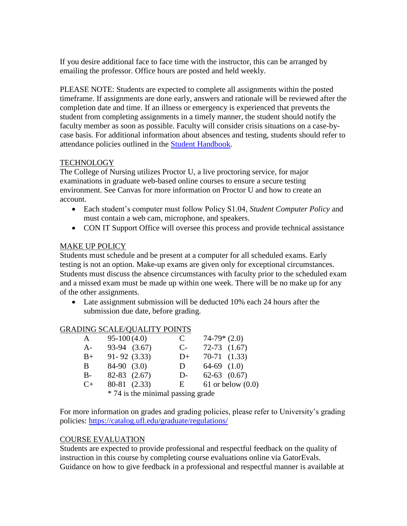If you desire additional face to face time with the instructor, this can be arranged by emailing the professor. Office hours are posted and held weekly.

PLEASE NOTE: Students are expected to complete all assignments within the posted timeframe. If assignments are done early, answers and rationale will be reviewed after the completion date and time. If an illness or emergency is experienced that prevents the student from completing assignments in a timely manner, the student should notify the faculty member as soon as possible. Faculty will consider crisis situations on a case-bycase basis. For additional information about absences and testing, students should refer to attendance policies outlined in the [Student Handbook.](https://nursing.ufl.edu/wordpress/files/2019/08/2019-Student-Handbook.pdf)

### TECHNOLOGY

The College of Nursing utilizes Proctor U, a live proctoring service, for major examinations in graduate web-based online courses to ensure a secure testing environment. See Canvas for more information on Proctor U and how to create an account.

- Each student's computer must follow Policy S1.04, *Student Computer Policy* and must contain a web cam, microphone, and speakers.
- CON IT Support Office will oversee this process and provide technical assistance

# MAKE UP POLICY

Students must schedule and be present at a computer for all scheduled exams. Early testing is not an option. Make-up exams are given only for exceptional circumstances. Students must discuss the absence circumstances with faculty prior to the scheduled exam and a missed exam must be made up within one week. There will be no make up for any of the other assignments.

• Late assignment submission will be deducted 10% each 24 hours after the submission due date, before grading.

### GRADING SCALE/QUALITY POINTS

| A       | $95-100(4.0)$    |                                     | C    | $74-79*(2.0)$    |                       |
|---------|------------------|-------------------------------------|------|------------------|-----------------------|
| $A-$    | 93-94 (3.67)     |                                     | $C-$ | $72-73$ $(1.67)$ |                       |
| $B+$    | $91 - 92$ (3.33) |                                     | $D+$ | $70-71$ $(1.33)$ |                       |
| B.      | $84-90$ $(3.0)$  |                                     | D    | $64-69$ $(1.0)$  |                       |
| $B-$    | $82-83$ $(2.67)$ |                                     | D-   | $62-63$ $(0.67)$ |                       |
| $C_{+}$ | 80-81 (2.33)     |                                     | E    |                  | $61$ or below $(0.0)$ |
|         |                  | $* 74$ is the minimal passing grade |      |                  |                       |

74 is the minimal passing grade

For more information on grades and grading policies, please refer to University's grading policies:<https://catalog.ufl.edu/graduate/regulations/>

### COURSE EVALUATION

Students are expected to provide professional and respectful feedback on the quality of instruction in this course by completing course evaluations online via GatorEvals. Guidance on how to give feedback in a professional and respectful manner is available at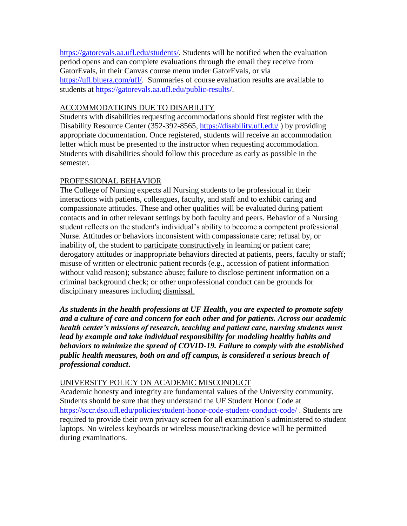[https://gatorevals.aa.ufl.edu/students/.](https://gatorevals.aa.ufl.edu/students/) Students will be notified when the evaluation period opens and can complete evaluations through the email they receive from GatorEvals, in their Canvas course menu under GatorEvals, or via [https://ufl.bluera.com/ufl/.](https://ufl.bluera.com/ufl/) Summaries of course evaluation results are available to students at [https://gatorevals.aa.ufl.edu/public-results/.](https://gatorevals.aa.ufl.edu/public-results/)

#### ACCOMMODATIONS DUE TO DISABILITY

Students with disabilities requesting accommodations should first register with the Disability Resource Center (352-392-8565,<https://disability.ufl.edu/> ) by providing appropriate documentation. Once registered, students will receive an accommodation letter which must be presented to the instructor when requesting accommodation. Students with disabilities should follow this procedure as early as possible in the semester.

### PROFESSIONAL BEHAVIOR

The College of Nursing expects all Nursing students to be professional in their interactions with patients, colleagues, faculty, and staff and to exhibit caring and compassionate attitudes. These and other qualities will be evaluated during patient contacts and in other relevant settings by both faculty and peers. Behavior of a Nursing student reflects on the student's individual's ability to become a competent professional Nurse. Attitudes or behaviors inconsistent with compassionate care; refusal by, or inability of, the student to participate constructively in learning or patient care; derogatory attitudes or inappropriate behaviors directed at patients, peers, faculty or staff; misuse of written or electronic patient records (e.g., accession of patient information without valid reason); substance abuse; failure to disclose pertinent information on a criminal background check; or other unprofessional conduct can be grounds for disciplinary measures including dismissal.

*As students in the health professions at UF Health, you are expected to promote safety and a culture of care and concern for each other and for patients. Across our academic health center's missions of research, teaching and patient care, nursing students must lead by example and take individual responsibility for modeling healthy habits and behaviors to minimize the spread of COVID-19. Failure to comply with the established public health measures, both on and off campus, is considered a serious breach of professional conduct***.** 

### UNIVERSITY POLICY ON ACADEMIC MISCONDUCT

Academic honesty and integrity are fundamental values of the University community. Students should be sure that they understand the UF Student Honor Code at <https://sccr.dso.ufl.edu/policies/student-honor-code-student-conduct-code/> . Students are required to provide their own privacy screen for all examination's administered to student laptops. No wireless keyboards or wireless mouse/tracking device will be permitted during examinations.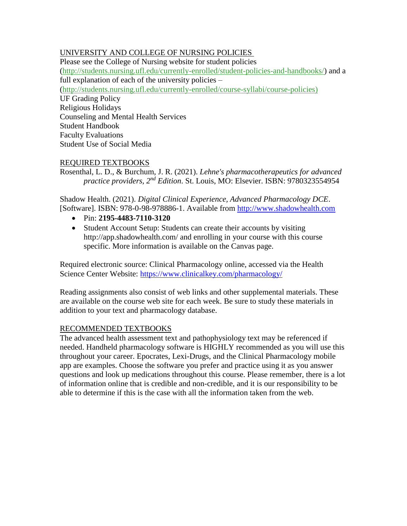# UNIVERSITY AND COLLEGE OF NURSING POLICIES

Please see the College of Nursing website for student policies [\(http://students.nursing.ufl.edu/currently-enrolled/student-policies-and-handbooks/\)](http://students.nursing.ufl.edu/currently-enrolled/student-policies-and-handbooks/) and a full explanation of each of the university policies – [\(http://students.nursing.ufl.edu/currently-enrolled/course-syllabi/course-policies\)](http://students.nursing.ufl.edu/currently-enrolled/course-syllabi/course-policies) UF Grading Policy Religious Holidays Counseling and Mental Health Services Student Handbook Faculty Evaluations Student Use of Social Media

# REQUIRED TEXTBOOKS

Rosenthal, L. D., & Burchum, J. R. (2021). *Lehne's pharmacotherapeutics for advanced practice providers, 2nd Edition*. St. Louis, MO: Elsevier. ISBN: 9780323554954

Shadow Health. (2021). *Digital Clinical Experience, Advanced Pharmacology DCE*. [Software]. ISBN: 978-0-98-978886-1. Available from [http://www.shadowhealth.com](http://www.shadowhealth.com/)

- Pin: **2195-4483-7110-3120**
- Student Account Setup: Students can create their accounts by visiting http://app.shadowhealth.com/ and enrolling in your course with this course specific. More information is available on the Canvas page.

Required electronic source: Clinical Pharmacology online, accessed via the Health Science Center Website: https://www.clinicalkey.com/pharmacology/

Reading assignments also consist of web links and other supplemental materials. These are available on the course web site for each week. Be sure to study these materials in addition to your text and pharmacology database.

### RECOMMENDED TEXTBOOKS

The advanced health assessment text and pathophysiology text may be referenced if needed. Handheld pharmacology software is HIGHLY recommended as you will use this throughout your career. Epocrates, Lexi-Drugs, and the Clinical Pharmacology mobile app are examples. Choose the software you prefer and practice using it as you answer questions and look up medications throughout this course. Please remember, there is a lot of information online that is credible and non-credible, and it is our responsibility to be able to determine if this is the case with all the information taken from the web.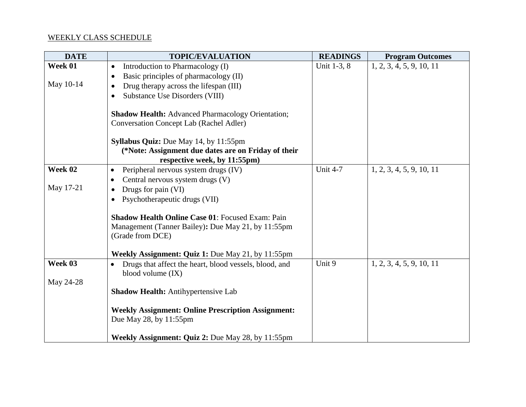# WEEKLY CLASS SCHEDULE

| <b>DATE</b> | <b>TOPIC/EVALUATION</b>                                   | <b>READINGS</b> | <b>Program Outcomes</b>  |
|-------------|-----------------------------------------------------------|-----------------|--------------------------|
| Week 01     | Introduction to Pharmacology (I)                          | Unit 1-3, 8     | 1, 2, 3, 4, 5, 9, 10, 11 |
|             | Basic principles of pharmacology (II)<br>$\bullet$        |                 |                          |
| May 10-14   | Drug therapy across the lifespan (III)                    |                 |                          |
|             | Substance Use Disorders (VIII)                            |                 |                          |
|             |                                                           |                 |                          |
|             | <b>Shadow Health: Advanced Pharmacology Orientation;</b>  |                 |                          |
|             | <b>Conversation Concept Lab (Rachel Adler)</b>            |                 |                          |
|             |                                                           |                 |                          |
|             | Syllabus Quiz: Due May 14, by 11:55pm                     |                 |                          |
|             | (*Note: Assignment due dates are on Friday of their       |                 |                          |
| Week 02     | respective week, by 11:55pm)                              | <b>Unit 4-7</b> | 1, 2, 3, 4, 5, 9, 10, 11 |
|             | Peripheral nervous system drugs (IV)<br>$\bullet$         |                 |                          |
| May 17-21   | Central nervous system drugs (V)                          |                 |                          |
|             | Drugs for pain (VI)                                       |                 |                          |
|             | Psychotherapeutic drugs (VII)                             |                 |                          |
|             | <b>Shadow Health Online Case 01: Focused Exam: Pain</b>   |                 |                          |
|             | Management (Tanner Bailey): Due May 21, by 11:55pm        |                 |                          |
|             | (Grade from DCE)                                          |                 |                          |
|             |                                                           |                 |                          |
|             | Weekly Assignment: Quiz 1: Due May 21, by 11:55pm         |                 |                          |
| Week 03     | Drugs that affect the heart, blood vessels, blood, and    | Unit 9          | 1, 2, 3, 4, 5, 9, 10, 11 |
|             | blood volume $(IX)$                                       |                 |                          |
| May 24-28   |                                                           |                 |                          |
|             | <b>Shadow Health: Antihypertensive Lab</b>                |                 |                          |
|             |                                                           |                 |                          |
|             | <b>Weekly Assignment: Online Prescription Assignment:</b> |                 |                          |
|             | Due May 28, by 11:55pm                                    |                 |                          |
|             |                                                           |                 |                          |
|             | Weekly Assignment: Quiz 2: Due May 28, by 11:55pm         |                 |                          |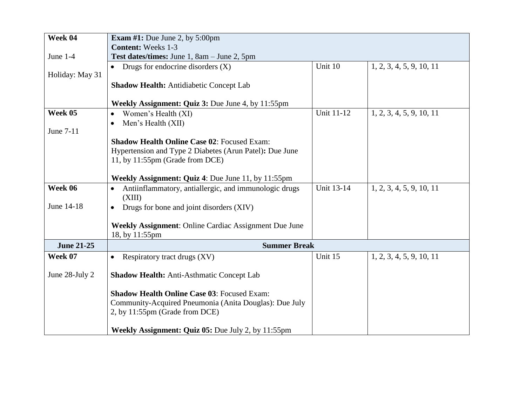| Week 04           | <b>Exam #1:</b> Due June 2, by $5:00 \text{pm}$                              |                   |                          |  |
|-------------------|------------------------------------------------------------------------------|-------------------|--------------------------|--|
|                   | <b>Content:</b> Weeks 1-3                                                    |                   |                          |  |
| June 1-4          | Test dates/times: June 1, 8am - June 2, 5pm                                  |                   |                          |  |
|                   | • Drugs for endocrine disorders $(X)$                                        | Unit 10           | 1, 2, 3, 4, 5, 9, 10, 11 |  |
| Holiday: May 31   |                                                                              |                   |                          |  |
|                   | Shadow Health: Antidiabetic Concept Lab                                      |                   |                          |  |
|                   |                                                                              |                   |                          |  |
|                   | Weekly Assignment: Quiz 3: Due June 4, by 11:55pm                            |                   |                          |  |
| Week 05           | Women's Health (XI)<br>$\bullet$                                             | <b>Unit 11-12</b> | 1, 2, 3, 4, 5, 9, 10, 11 |  |
|                   | Men's Health (XII)<br>$\bullet$                                              |                   |                          |  |
| June 7-11         |                                                                              |                   |                          |  |
|                   | <b>Shadow Health Online Case 02: Focused Exam:</b>                           |                   |                          |  |
|                   | Hypertension and Type 2 Diabetes (Arun Patel): Due June                      |                   |                          |  |
|                   | 11, by 11:55pm (Grade from DCE)                                              |                   |                          |  |
|                   |                                                                              |                   |                          |  |
|                   | <b>Weekly Assignment: Quiz 4: Due June 11, by 11:55pm</b>                    |                   |                          |  |
| Week 06           | Antiinflammatory, antiallergic, and immunologic drugs<br>$\bullet$<br>(XIII) | <b>Unit 13-14</b> | 1, 2, 3, 4, 5, 9, 10, 11 |  |
| June 14-18        | Drugs for bone and joint disorders (XIV)<br>$\bullet$                        |                   |                          |  |
|                   | <b>Weekly Assignment: Online Cardiac Assignment Due June</b>                 |                   |                          |  |
|                   | 18, by 11:55pm                                                               |                   |                          |  |
| <b>June 21-25</b> | <b>Summer Break</b>                                                          |                   |                          |  |
| Week 07           | Respiratory tract drugs (XV)<br>$\bullet$                                    | Unit 15           | 1, 2, 3, 4, 5, 9, 10, 11 |  |
|                   |                                                                              |                   |                          |  |
| June 28-July 2    | <b>Shadow Health: Anti-Asthmatic Concept Lab</b>                             |                   |                          |  |
|                   | <b>Shadow Health Online Case 03: Focused Exam:</b>                           |                   |                          |  |
|                   | Community-Acquired Pneumonia (Anita Douglas): Due July                       |                   |                          |  |
|                   | 2, by 11:55pm (Grade from DCE)                                               |                   |                          |  |
|                   | Weekly Assignment: Quiz 05: Due July 2, by 11:55pm                           |                   |                          |  |